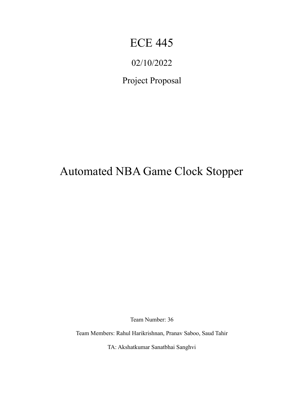# ECE 445

# 02/10/2022

Project Proposal

# Automated NBA Game Clock Stopper

Team Number: 36

Team Members: Rahul Harikrishnan, Pranav Saboo, Saud Tahir

TA: Akshatkumar Sanatbhai Sanghvi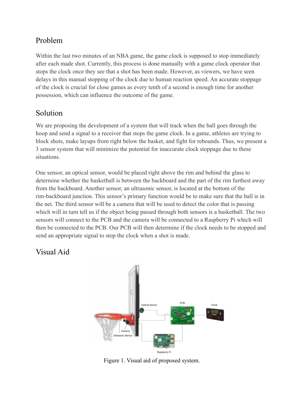## Problem

Within the last two minutes of an NBA game, the game clock is supposed to stop immediately after each made shot. Currently, this process is done manually with a game clock operator that stops the clock once they see that a shot has been made. However, as viewers, we have seen delays in this manual stopping of the clock due to human reaction speed. An accurate stoppage of the clock is crucial for close games as every tenth of a second is enough time for another possession, which can influence the outcome of the game.

## Solution

We are proposing the development of a system that will track when the ball goes through the hoop and send a signal to a receiver that stops the game clock. In a game, athletes are trying to block shots, make layups from right below the basket, and fight for rebounds. Thus, we present a 3 sensor system that will minimize the potential for inaccurate clock stoppage due to these situations.

One sensor, an optical sensor, would be placed right above the rim and behind the glass to determine whether the basketball is between the backboard and the part of the rim furthest away from the backboard. Another sensor, an ultrasonic sensor, is located at the bottom of the rim-backboard junction. This sensor's primary function would be to make sure that the ball is in the net. The third sensor will be a camera that will be used to detect the color that is passing which will in turn tell us if the object being passed through both sensors is a basketball. The two sensors will connect to the PCB and the camera will be connected to a Raspberry Pi which will then be connected to the PCB. Our PCB will then determine if the clock needs to be stopped and send an appropriate signal to stop the clock when a shot is made.

### Visual Aid



Figure 1. Visual aid of proposed system.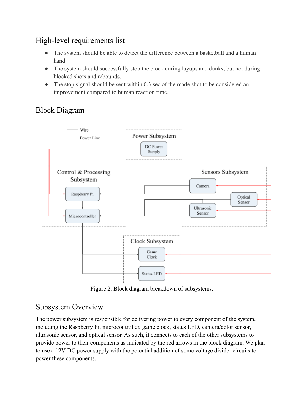## High-level requirements list

- The system should be able to detect the difference between a basketball and a human hand
- The system should successfully stop the clock during layups and dunks, but not during blocked shots and rebounds.
- The stop signal should be sent within 0.3 sec of the made shot to be considered an improvement compared to human reaction time.

## Block Diagram



Figure 2. Block diagram breakdown of subsystems.

### Subsystem Overview

The power subsystem is responsible for delivering power to every component of the system, including the Raspberry Pi, microcontroller, game clock, status LED, camera/color sensor, ultrasonic sensor, and optical sensor. As such, it connects to each of the other subsystems to provide power to their components as indicated by the red arrows in the block diagram. We plan to use a 12V DC power supply with the potential addition of some voltage divider circuits to power these components.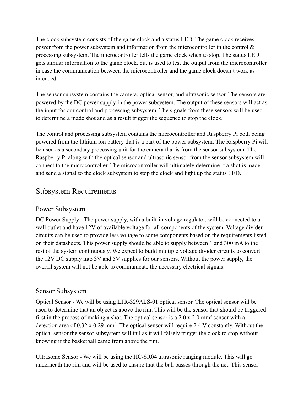The clock subsystem consists of the game clock and a status LED. The game clock receives power from the power subsystem and information from the microcontroller in the control & processing subsystem. The microcontroller tells the game clock when to stop. The status LED gets similar information to the game clock, but is used to test the output from the microcontroller in case the communication between the microcontroller and the game clock doesn't work as intended.

The sensor subsystem contains the camera, optical sensor, and ultrasonic sensor. The sensors are powered by the DC power supply in the power subsystem. The output of these sensors will act as the input for our control and processing subsystem. The signals from these sensors will be used to determine a made shot and as a result trigger the sequence to stop the clock.

The control and processing subsystem contains the microcontroller and Raspberry Pi both being powered from the lithium ion battery that is a part of the power subsystem. The Raspberry Pi will be used as a secondary processing unit for the camera that is from the sensor subsystem. The Raspberry Pi along with the optical sensor and ultrasonic sensor from the sensor subsystem will connect to the microcontroller. The microcontroller will ultimately determine if a shot is made and send a signal to the clock subsystem to stop the clock and light up the status LED.

#### Subsystem Requirements

#### Power Subsystem

DC Power Supply - The power supply, with a built-in voltage regulator, will be connected to a wall outlet and have 12V of available voltage for all components of the system. Voltage divider circuits can be used to provide less voltage to some components based on the requirements listed on their datasheets. This power supply should be able to supply between 1 and 300 mA to the rest of the system continuously. We expect to build multiple voltage divider circuits to convert the 12V DC supply into 3V and 5V supplies for our sensors. Without the power supply, the overall system will not be able to communicate the necessary electrical signals.

#### Sensor Subsystem

Optical Sensor - We will be using LTR-329ALS-01 optical sensor. The optical sensor will be used to determine that an object is above the rim. This will be the sensor that should be triggered first in the process of making a shot. The optical sensor is a  $2.0 \times 2.0 \text{ mm}^2$  sensor with a detection area of  $0.32 \times 0.29$  mm<sup>2</sup>. The optical sensor will require 2.4 V constantly. Without the optical sensor the sensor subsystem will fail as it will falsely trigger the clock to stop without knowing if the basketball came from above the rim.

Ultrasonic Sensor - We will be using the HC-SR04 ultrasonic ranging module. This will go underneath the rim and will be used to ensure that the ball passes through the net. This sensor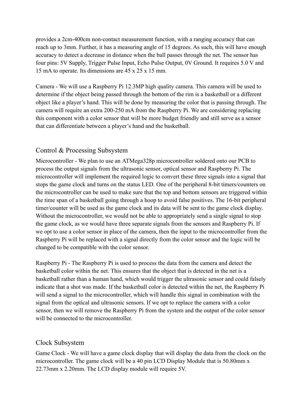provides a 2cm-400cm non-contact measurement function, with a ranging accuracy that can reach up to 3mm. Further, it has a measuring angle of 15 degrees. As such, this will have enough accuracy to detect a decrease in distance when the ball passes through the net. The sensor has four pins: 5V Supply, Trigger Pulse Input, Echo Pulse Output, 0V Ground. It requires 5.0 V and 15 mA to operate. Its dimensions are 45 x 25 x 15 mm.

Camera - We will use a Raspberry Pi 12.3MP high quality camera. This camera will be used to determine if the object being passed through the bottom of the rim is a basketball or a different object like a player's hand. This will be done by measuring the color that is passing through. The camera will require an extra 200-250 mA from the Raspberry Pi. We are considering replacing this component with a color sensor that will be more budget friendly and still serve as a sensor that can differentiate between a player's hand and the basketball.

#### Control & Processing Subsystem

Microcontroller - We plan to use an ATMega328p microcontroller soldered onto our PCB to process the output signals from the ultrasonic sensor, optical sensor and Raspberry Pi. The microcontroller will implement the required logic to convert these three signals into a signal that stops the game clock and turns on the status LED. One of the peripheral 8-bit timers/counters on the microcontroller can be used to make sure that the top and bottom sensors are triggered within the time span of a basketball going through a hoop to avoid false positives. The 16-bit peripheral timer/counter will be used as the game clock and its data will be sent to the game clock display. Without the microcontroller, we would not be able to appropriately send a single signal to stop the game clock, as we would have three separate signals from the sensors and Raspberry Pi. If we opt to use a color sensor in place of the camera, then the input to the microcontroller from the Raspberry Pi will be replaced with a signal directly from the color sensor and the logic will be changed to be compatible with the color sensor.

Raspberry Pi - The Raspberry Pi is used to process the data from the camera and detect the basketball color within the net. This ensures that the object that is detected in the net is a basketball rather than a human hand, which would trigger the ultrasonic sensor and could falsely indicate that a shot was made. If the basketball color is detected within the net, the Raspberry Pi will send a signal to the microcontroller, which will handle this signal in combination with the signal from the optical and ultrasonic sensors. If we opt to replace the camera with a color sensor, then we will remove the Raspberry Pi from the system and the output of the color sensor will be connected to the microcontroller.

#### Clock Subsystem

Game Clock - We will have a game clock display that will display the data from the clock on the microcontroller. The game clock will be a 40 pin LCD Display Module that is 50.80mm x 22.73mm x 2.20mm. The LCD display module will require 5V.